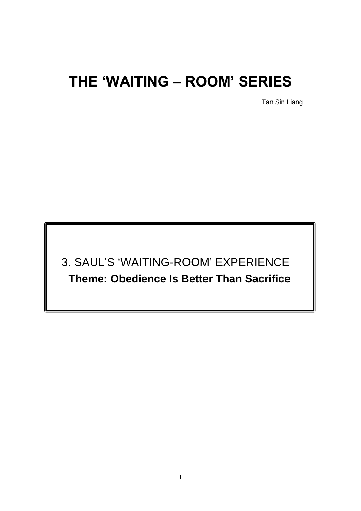# **THE 'WAITING – ROOM' SERIES**

Tan Sin Liang

3. SAUL'S 'WAITING-ROOM' EXPERIENCE **Theme: Obedience Is Better Than Sacrifice**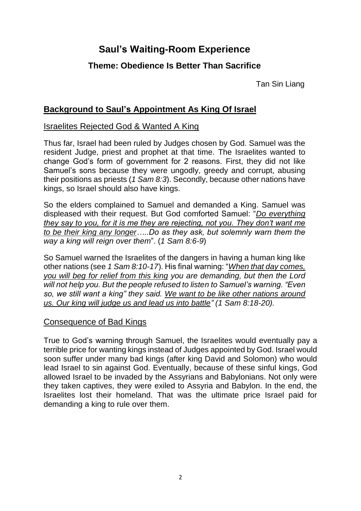# **Saul's Waiting-Room Experience**

# **Theme: Obedience Is Better Than Sacrifice**

Tan Sin Liang

# **Background to Saul's Appointment As King Of Israel**

#### Israelites Rejected God & Wanted A King

Thus far, Israel had been ruled by Judges chosen by God. Samuel was the resident Judge, priest and prophet at that time. The Israelites wanted to change God's form of government for 2 reasons. First, they did not like Samuel's sons because they were ungodly, greedy and corrupt, abusing their positions as priests (*1 Sam 8:3*). Secondly, because other nations have kings, so Israel should also have kings.

So the elders complained to Samuel and demanded a King. Samuel was displeased with their request. But God comforted Samuel: "*Do everything they say to you, for it is me they are rejecting, not you. They don't want me to be their king any longer…..Do as they ask, but solemnly warn them the way a king will reign over them*". (*1 Sam 8:6-9*)

So Samuel warned the Israelites of the dangers in having a human king like other nations (see *1 Sam 8:10-17*). His final warning: "*When that day comes, you will beg for relief from this king you are demanding, but then the Lord will not help you. But the people refused to listen to Samuel's warning. "Even so, we still want a king" they said. We want to be like other nations around us. Our king will judge us and lead us into battle" (1 Sam 8:18-20).*

#### Consequence of Bad Kings

True to God's warning through Samuel, the Israelites would eventually pay a terrible price for wanting kings instead of Judges appointed by God. Israel would soon suffer under many bad kings (after king David and Solomon) who would lead Israel to sin against God. Eventually, because of these sinful kings, God allowed Israel to be invaded by the Assyrians and Babylonians. Not only were they taken captives, they were exiled to Assyria and Babylon. In the end, the Israelites lost their homeland. That was the ultimate price Israel paid for demanding a king to rule over them.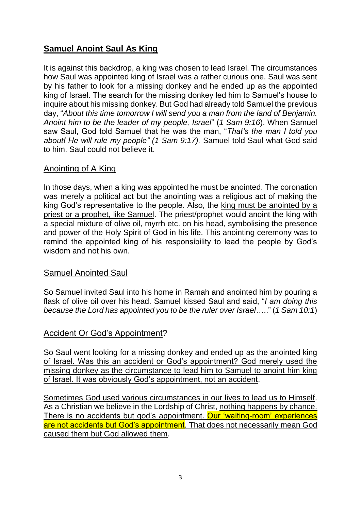# **Samuel Anoint Saul As King**

It is against this backdrop, a king was chosen to lead Israel. The circumstances how Saul was appointed king of Israel was a rather curious one. Saul was sent by his father to look for a missing donkey and he ended up as the appointed king of Israel. The search for the missing donkey led him to Samuel's house to inquire about his missing donkey. But God had already told Samuel the previous day, "*About this time tomorrow I will send you a man from the land of Benjamin. Anoint him to be the leader of my people, Israel*" (*1 Sam 9:16*). When Samuel saw Saul, God told Samuel that he was the man, "*That's the man I told you about! He will rule my people" (1 Sam 9:17).* Samuel told Saul what God said to him. Saul could not believe it.

#### Anointing of A King

In those days, when a king was appointed he must be anointed. The coronation was merely a political act but the anointing was a religious act of making the king God's representative to the people. Also, the king must be anointed by a priest or a prophet, like Samuel. The priest/prophet would anoint the king with a special mixture of olive oil, myrrh etc. on his head, symbolising the presence and power of the Holy Spirit of God in his life. This anointing ceremony was to remind the appointed king of his responsibility to lead the people by God's wisdom and not his own.

#### Samuel Anointed Saul

So Samuel invited Saul into his home in Ramah and anointed him by pouring a flask of olive oil over his head. Samuel kissed Saul and said, "*I am doing this because the Lord has appointed you to be the ruler over Israel*….." (*1 Sam 10:1*)

## Accident Or God's Appointment?

So Saul went looking for a missing donkey and ended up as the anointed king of Israel. Was this an accident or God's appointment? God merely used the missing donkey as the circumstance to lead him to Samuel to anoint him king of Israel. It was obviously God's appointment, not an accident.

Sometimes God used various circumstances in our lives to lead us to Himself. As a Christian we believe in the Lordship of Christ, nothing happens by chance. There is no accidents but god's appointment. Our 'waiting-room' experiences are not accidents but God's appointment. That does not necessarily mean God caused them but God allowed them.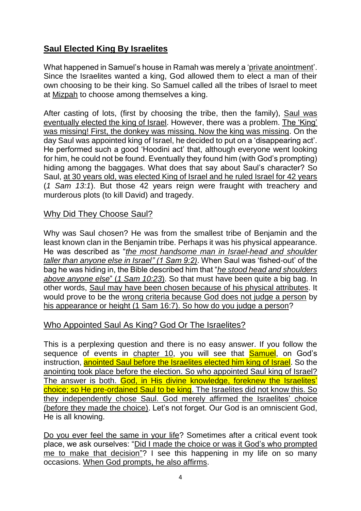# **Saul Elected King By Israelites**

What happened in Samuel's house in Ramah was merely a 'private anointment'. Since the Israelites wanted a king, God allowed them to elect a man of their own choosing to be their king. So Samuel called all the tribes of Israel to meet at Mizpah to choose among themselves a king.

After casting of lots, (first by choosing the tribe, then the family), Saul was eventually elected the king of Israel. However, there was a problem. The 'King' was missing! First, the donkey was missing. Now the king was missing. On the day Saul was appointed king of Israel, he decided to put on a 'disappearing act'. He performed such a good 'Hoodini act' that, although everyone went looking for him, he could not be found. Eventually they found him (with God's prompting) hiding among the baggages. What does that say about Saul's character? So Saul, at 30 years old, was elected King of Israel and he ruled Israel for 42 years (*1 Sam 13:1*). But those 42 years reign were fraught with treachery and murderous plots (to kill David) and tragedy.

#### Why Did They Choose Saul?

Why was Saul chosen? He was from the smallest tribe of Benjamin and the least known clan in the Benjamin tribe. Perhaps it was his physical appearance. He was described as "*the most handsome man in Israel-head and shoulder taller than anyone else in Israel" (1 Sam 9:2)*. When Saul was 'fished-out' of the bag he was hiding in, the Bible described him that "*he stood head and shoulders above anyone else*" (*1 Sam 10:23*). So that must have been quite a big bag. In other words, Saul may have been chosen because of his physical attributes. It would prove to be the wrong criteria because God does not judge a person by his appearance or height (1 Sam 16:7). So how do you judge a person?

## Who Appointed Saul As King? God Or The Israelites?

This is a perplexing question and there is no easy answer. If you follow the sequence of events in chapter 10, you will see that **Samuel**, on God's instruction, anointed Saul before the Israelites elected him king of Israel. So the anointing took place before the election. So who appointed Saul king of Israel? The answer is both. God, in His divine knowledge, foreknew the Israelites' choice; so He pre-ordained Saul to be king. The Israelites did not know this. So they independently chose Saul. God merely affirmed the Israelites' choice (before they made the choice). Let's not forget. Our God is an omniscient God, He is all knowing.

Do you ever feel the same in your life? Sometimes after a critical event took place, we ask ourselves: "Did I made the choice or was it God's who prompted me to make that decision"? I see this happening in my life on so many occasions. When God prompts, he also affirms.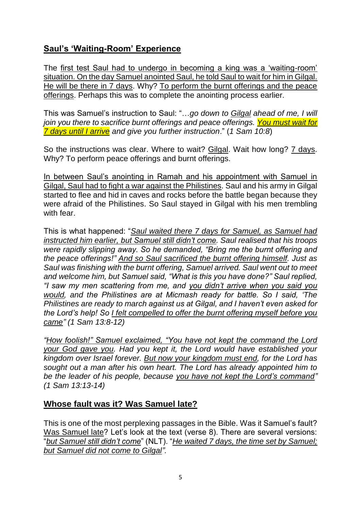# **Saul's 'Waiting-Room' Experience**

The first test Saul had to undergo in becoming a king was a 'waiting-room' situation. On the day Samuel anointed Saul, he told Saul to wait for him in Gilgal. He will be there in 7 days. Why? To perform the burnt offerings and the peace offerings. Perhaps this was to complete the anointing process earlier.

This was Samuel's instruction to Saul: "…*go down to Gilgal ahead of me, I will join you there to sacrifice burnt offerings and peace offerings. You must wait for 7 days until I arrive and give you further instruction*." (*1 Sam 10:8*)

So the instructions was clear. Where to wait? Gilgal. Wait how long? 7 days. Why? To perform peace offerings and burnt offerings.

In between Saul's anointing in Ramah and his appointment with Samuel in Gilgal, Saul had to fight a war against the Philistines. Saul and his army in Gilgal started to flee and hid in caves and rocks before the battle began because they were afraid of the Philistines. So Saul stayed in Gilgal with his men trembling with fear.

This is what happened: "*Saul waited there 7 days for Samuel, as Samuel had instructed him earlier, but Samuel still didn't come. Saul realised that his troops were rapidly slipping away. So he demanded, "Bring me the burnt offering and the peace offerings!" And so Saul sacrificed the burnt offering himself. Just as Saul was finishing with the burnt offering, Samuel arrived. Saul went out to meet and welcome him, but Samuel said, "What is this you have done?" Saul replied, "I saw my men scattering from me, and you didn't arrive when you said you would, and the Philistines are at Micmash ready for battle. So I said, 'The Philistines are ready to march against us at Gilgal, and I haven't even asked for the Lord's help! So I felt compelled to offer the burnt offering myself before you came" (1 Sam 13:8-12)*

*"How foolish!" Samuel exclaimed, "You have not kept the command the Lord your God gave you. Had you kept it, the Lord would have established your kingdom over Israel forever. But now your kingdom must end, for the Lord has sought out a man after his own heart. The Lord has already appointed him to be the leader of his people, because you have not kept the Lord's command" (1 Sam 13:13-14)*

## **Whose fault was it? Was Samuel late?**

This is one of the most perplexing passages in the Bible. Was it Samuel's fault? Was Samuel late? Let's look at the text (verse 8). There are several versions: "*but Samuel still didn't come*" (NLT). "*He waited 7 days, the time set by Samuel; but Samuel did not come to Gilgal".*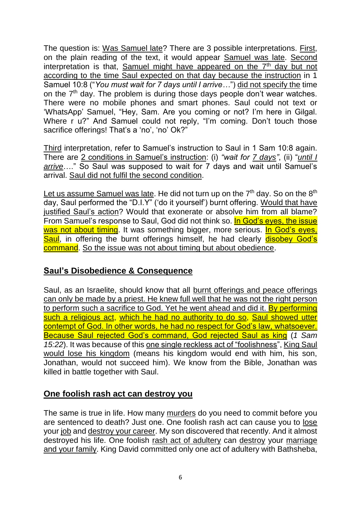The question is: Was Samuel late? There are 3 possible interpretations. First, on the plain reading of the text, it would appear Samuel was late. Second interpretation is that, Samuel might have appeared on the  $7<sup>th</sup>$  day but not according to the time Saul expected on that day because the instruction in 1 Samuel 10:8 ("*You must wait for 7 days until I arrive…*") did not specify the time on the 7<sup>th</sup> day. The problem is during those days people don't wear watches. There were no mobile phones and smart phones. Saul could not text or 'WhatsApp' Samuel, "Hey, Sam. Are you coming or not? I'm here in Gilgal. Where r u?" And Samuel could not reply, "I'm coming. Don't touch those sacrifice offerings! That's a 'no', 'no' Ok?"

Third interpretation, refer to Samuel's instruction to Saul in 1 Sam 10:8 again. There are 2 conditions in Samuel's instruction: (i) *"wait for 7 days"*, (ii) "*until I arrive*…." So Saul was supposed to wait for 7 days and wait until Samuel's arrival. Saul did not fulfil the second condition.

Let us assume Samuel was late. He did not turn up on the  $7<sup>th</sup>$  day. So on the  $8<sup>th</sup>$ day, Saul performed the "D.I.Y" ('do it yourself') burnt offering. Would that have justified Saul's action? Would that exonerate or absolve him from all blame? From Samuel's response to Saul, God did not think so. In God's eyes, the issue was not about timing. It was something bigger, more serious. In God's eyes, Saul, in offering the burnt offerings himself, he had clearly disobey God's command. So the issue was not about timing but about obedience.

## **Saul's Disobedience & Consequence**

Saul, as an Israelite, should know that all burnt offerings and peace offerings can only be made by a priest. He knew full well that he was not the right person to perform such a sacrifice to God. Yet he went ahead and did it. By performing such a religious act, which he had no authority to do so, Saul showed utter contempt of God. In other words, he had no respect for God's law, whatsoever. Because Saul rejected God's command, God rejected Saul as king (*1 Sam 15:22*). It was because of this one single reckless act of "foolishness", King Saul would lose his kingdom (means his kingdom would end with him, his son, Jonathan, would not succeed him). We know from the Bible, Jonathan was killed in battle together with Saul.

#### **One foolish rash act can destroy you**

The same is true in life. How many murders do you need to commit before you are sentenced to death? Just one. One foolish rash act can cause you to lose your job and destroy your career. My son discovered that recently. And it almost destroyed his life. One foolish rash act of adultery can destroy your marriage and your family. King David committed only one act of adultery with Bathsheba,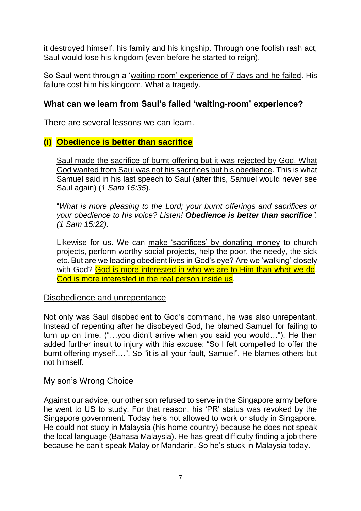it destroyed himself, his family and his kingship. Through one foolish rash act, Saul would lose his kingdom (even before he started to reign).

So Saul went through a 'waiting-room' experience of 7 days and he failed. His failure cost him his kingdom. What a tragedy.

# **What can we learn from Saul's failed 'waiting-room' experience?**

There are several lessons we can learn.

# **(i) Obedience is better than sacrifice**

Saul made the sacrifice of burnt offering but it was rejected by God. What God wanted from Saul was not his sacrifices but his obedience. This is what Samuel said in his last speech to Saul (after this, Samuel would never see Saul again) (*1 Sam 15:35*).

"*What is more pleasing to the Lord; your burnt offerings and sacrifices or your obedience to his voice? Listen! Obedience is better than sacrifice". (1 Sam 15:22).*

Likewise for us. We can make 'sacrifices' by donating money to church projects, perform worthy social projects, help the poor, the needy, the sick etc. But are we leading obedient lives in God's eye? Are we 'walking' closely with God? God is more interested in who we are to Him than what we do. God is more interested in the real person inside us.

#### Disobedience and unrepentance

Not only was Saul disobedient to God's command, he was also unrepentant. Instead of repenting after he disobeyed God, he blamed Samuel for failing to turn up on time. ("…you didn't arrive when you said you would…"). He then added further insult to injury with this excuse: "So I felt compelled to offer the burnt offering myself….". So "it is all your fault, Samuel". He blames others but not himself.

#### My son's Wrong Choice

Against our advice, our other son refused to serve in the Singapore army before he went to US to study. For that reason, his 'PR' status was revoked by the Singapore government. Today he's not allowed to work or study in Singapore. He could not study in Malaysia (his home country) because he does not speak the local language (Bahasa Malaysia). He has great difficulty finding a job there because he can't speak Malay or Mandarin. So he's stuck in Malaysia today.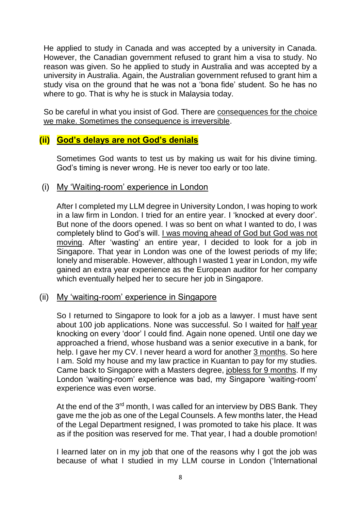He applied to study in Canada and was accepted by a university in Canada. However, the Canadian government refused to grant him a visa to study. No reason was given. So he applied to study in Australia and was accepted by a university in Australia. Again, the Australian government refused to grant him a study visa on the ground that he was not a 'bona fide' student. So he has no where to go. That is why he is stuck in Malaysia today.

So be careful in what you insist of God. There are consequences for the choice we make. Sometimes the consequence is irreversible.

# **(ii) God's delays are not God's denials**

Sometimes God wants to test us by making us wait for his divine timing. God's timing is never wrong. He is never too early or too late.

#### (i) My 'Waiting-room' experience in London

After I completed my LLM degree in University London, I was hoping to work in a law firm in London. I tried for an entire year. I 'knocked at every door'. But none of the doors opened. I was so bent on what I wanted to do, I was completely blind to God's will. I was moving ahead of God but God was not moving. After 'wasting' an entire year, I decided to look for a job in Singapore. That year in London was one of the lowest periods of my life; lonely and miserable. However, although I wasted 1 year in London, my wife gained an extra year experience as the European auditor for her company which eventually helped her to secure her job in Singapore.

#### (ii) My 'waiting-room' experience in Singapore

So I returned to Singapore to look for a job as a lawyer. I must have sent about 100 job applications. None was successful. So I waited for half year knocking on every 'door' I could find. Again none opened. Until one day we approached a friend, whose husband was a senior executive in a bank, for help. I gave her my CV. I never heard a word for another 3 months. So here I am. Sold my house and my law practice in Kuantan to pay for my studies. Came back to Singapore with a Masters degree, jobless for 9 months. If my London 'waiting-room' experience was bad, my Singapore 'waiting-room' experience was even worse.

At the end of the 3<sup>rd</sup> month, I was called for an interview by DBS Bank. They gave me the job as one of the Legal Counsels. A few months later, the Head of the Legal Department resigned, I was promoted to take his place. It was as if the position was reserved for me. That year, I had a double promotion!

I learned later on in my job that one of the reasons why I got the job was because of what I studied in my LLM course in London ('International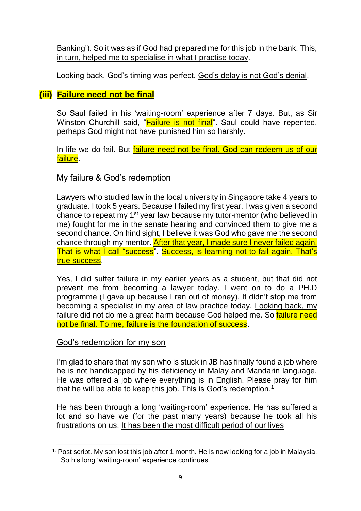Banking'). So it was as if God had prepared me for this job in the bank. This, in turn, helped me to specialise in what I practise today.

Looking back, God's timing was perfect. God's delay is not God's denial.

# **(iii) Failure need not be final**

So Saul failed in his 'waiting-room' experience after 7 days. But, as Sir Winston Churchill said, "**Failure is not final**". Saul could have repented, perhaps God might not have punished him so harshly.

In life we do fail. But failure need not be final. God can redeem us of our failure.

## My failure & God's redemption

Lawyers who studied law in the local university in Singapore take 4 years to graduate. I took 5 years. Because I failed my first year. I was given a second chance to repeat my 1<sup>st</sup> year law because my tutor-mentor (who believed in me) fought for me in the senate hearing and convinced them to give me a second chance. On hind sight, I believe it was God who gave me the second chance through my mentor. After that year, I made sure I never failed again. That is what I call "success". Success, is learning not to fail again. That's true success.

Yes, I did suffer failure in my earlier years as a student, but that did not prevent me from becoming a lawyer today. I went on to do a PH.D programme (I gave up because I ran out of money). It didn't stop me from becoming a specialist in my area of law practice today. Looking back, my failure did not do me a great harm because God helped me. So *failure need* not be final. To me, failure is the foundation of success.

#### God's redemption for my son

\_\_\_\_\_\_\_\_\_\_\_\_\_\_\_\_\_\_\_\_\_\_\_\_\_\_\_\_\_\_

I'm glad to share that my son who is stuck in JB has finally found a job where he is not handicapped by his deficiency in Malay and Mandarin language. He was offered a job where everything is in English. Please pray for him that he will be able to keep this job. This is God's redemption.<sup>1</sup>

He has been through a long 'waiting-room' experience. He has suffered a lot and so have we (for the past many years) because he took all his frustrations on us. It has been the most difficult period of our lives

<sup>&</sup>lt;sup>1.</sup> Post script. My son lost this job after 1 month. He is now looking for a job in Malaysia. So his long 'waiting-room' experience continues.